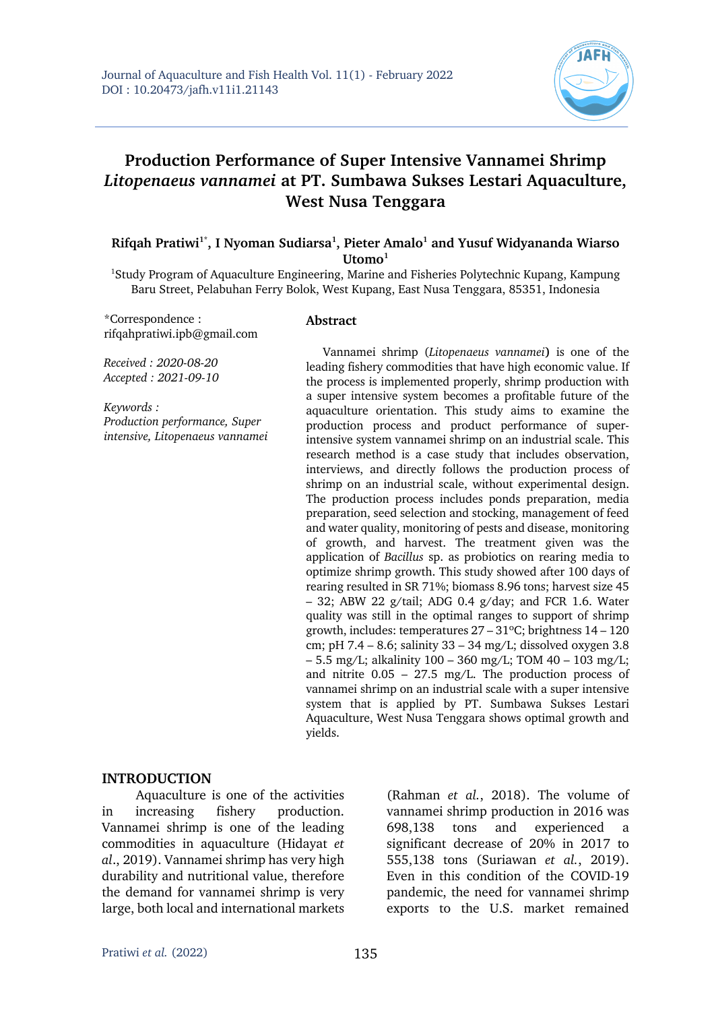

# **Production Performance of Super Intensive Vannamei Shrimp** *Litopenaeus vannamei* **at PT. Sumbawa Sukses Lestari Aquaculture, West Nusa Tenggara**

#### **Rifqah Pratiwi1\*, I Nyoman Sudiarsa1 , Pieter Amalo1 and Yusuf Widyananda Wiarso**  Utomo<sup>1</sup>

<sup>1</sup>Study Program of Aquaculture Engineering, Marine and Fisheries Polytechnic Kupang, Kampung Baru Street, Pelabuhan Ferry Bolok, West Kupang, East Nusa Tenggara, 85351, Indonesia

\*Correspondence : rifqahpratiwi.ipb@gmail.com

#### **Abstract**

*Received : 2020-08-20 Accepted : 2021-09-10*

*Keywords : Production performance, Super intensive, Litopenaeus vannamei*

Vannamei shrimp (*Litopenaeus vannamei***)** is one of the leading fishery commodities that have high economic value. If the process is implemented properly, shrimp production with a super intensive system becomes a profitable future of the aquaculture orientation. This study aims to examine the production process and product performance of superintensive system vannamei shrimp on an industrial scale. This research method is a case study that includes observation, interviews, and directly follows the production process of shrimp on an industrial scale, without experimental design. The production process includes ponds preparation, media preparation, seed selection and stocking, management of feed and water quality, monitoring of pests and disease, monitoring of growth, and harvest. The treatment given was the application of *Bacillus* sp. as probiotics on rearing media to optimize shrimp growth. This study showed after 100 days of rearing resulted in SR 71%; biomass 8.96 tons; harvest size 45  $-$  32; ABW 22 g/tail; ADG 0.4 g/day; and FCR 1.6. Water quality was still in the optimal ranges to support of shrimp growth, includes: temperatures 27 – 31ºC; brightness 14 – 120 cm; pH 7.4 – 8.6; salinity  $33 - 34$  mg/L; dissolved oxygen 3.8 – 5.5 mg/L; alkalinity 100 – 360 mg/L; TOM 40 – 103 mg/L; and nitrite  $0.05 - 27.5$  mg/L. The production process of vannamei shrimp on an industrial scale with a super intensive system that is applied by PT. Sumbawa Sukses Lestari Aquaculture, West Nusa Tenggara shows optimal growth and yields.

#### **INTRODUCTION**

Aquaculture is one of the activities in increasing fishery production. Vannamei shrimp is one of the leading commodities in aquaculture (Hidayat *et al*., 2019). Vannamei shrimp has very high durability and nutritional value, therefore the demand for vannamei shrimp is very large, both local and international markets

(Rahman *et al.*, 2018). The volume of vannamei shrimp production in 2016 was 698,138 tons and experienced a significant decrease of 20% in 2017 to 555,138 tons (Suriawan *et al.*, 2019). Even in this condition of the COVID-19 pandemic, the need for vannamei shrimp exports to the U.S. market remained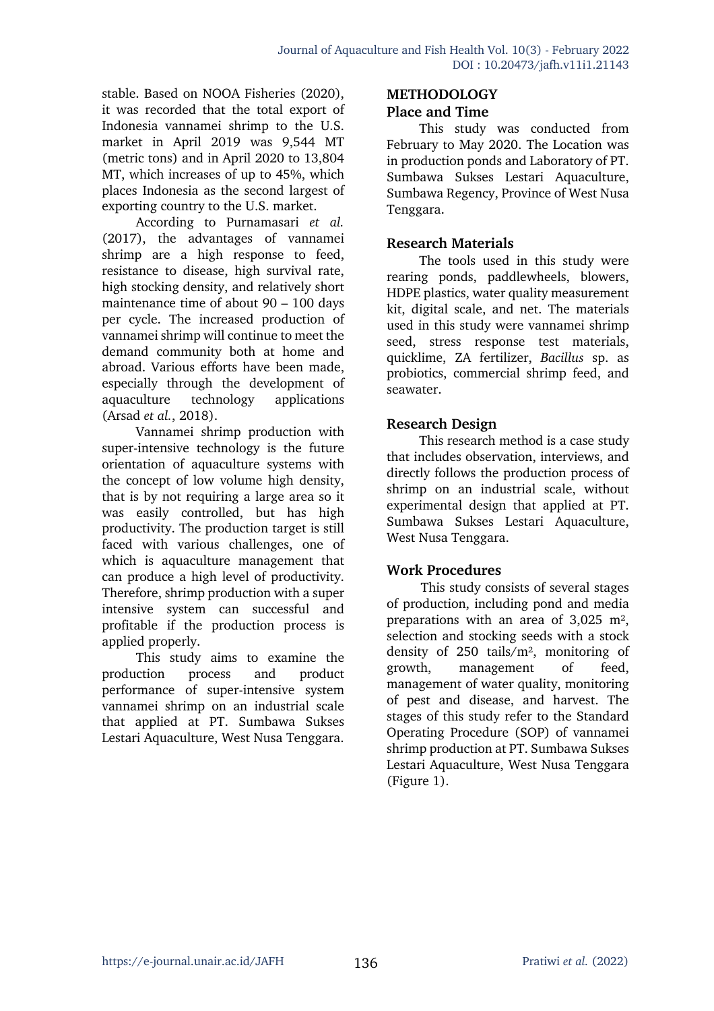stable. Based on NOOA Fisheries (2020), it was recorded that the total export of Indonesia vannamei shrimp to the U.S. market in April 2019 was 9,544 MT (metric tons) and in April 2020 to 13,804 MT, which increases of up to 45%, which places Indonesia as the second largest of exporting country to the U.S. market.

According to Purnamasari *et al.* (2017), the advantages of vannamei shrimp are a high response to feed, resistance to disease, high survival rate, high stocking density, and relatively short maintenance time of about 90 – 100 days per cycle. The increased production of vannamei shrimp will continue to meet the demand community both at home and abroad. Various efforts have been made, especially through the development of aquaculture technology applications (Arsad *et al.*, 2018).

Vannamei shrimp production with super-intensive technology is the future orientation of aquaculture systems with the concept of low volume high density, that is by not requiring a large area so it was easily controlled, but has high productivity. The production target is still faced with various challenges, one of which is aquaculture management that can produce a high level of productivity. Therefore, shrimp production with a super intensive system can successful and profitable if the production process is applied properly.

This study aims to examine the production process and product performance of super-intensive system vannamei shrimp on an industrial scale that applied at PT. Sumbawa Sukses Lestari Aquaculture, West Nusa Tenggara.

# **METHODOLOGY**

# **Place and Time**

This study was conducted from February to May 2020. The Location was in production ponds and Laboratory of PT. Sumbawa Sukses Lestari Aquaculture, Sumbawa Regency, Province of West Nusa Tenggara.

# **Research Materials**

The tools used in this study were rearing ponds, paddlewheels, blowers, HDPE plastics, water quality measurement kit, digital scale, and net. The materials used in this study were vannamei shrimp seed, stress response test materials, quicklime, ZA fertilizer, *Bacillus* sp. as probiotics, commercial shrimp feed, and seawater.

# **Research Design**

This research method is a case study that includes observation, interviews, and directly follows the production process of shrimp on an industrial scale, without experimental design that applied at PT. Sumbawa Sukses Lestari Aquaculture, West Nusa Tenggara.

# **Work Procedures**

This study consists of several stages of production, including pond and media preparations with an area of 3,025 m², selection and stocking seeds with a stock density of 250 tails/m², monitoring of growth, management of feed, management of water quality, monitoring of pest and disease, and harvest. The stages of this study refer to the Standard Operating Procedure (SOP) of vannamei shrimp production at PT. Sumbawa Sukses Lestari Aquaculture, West Nusa Tenggara (Figure 1).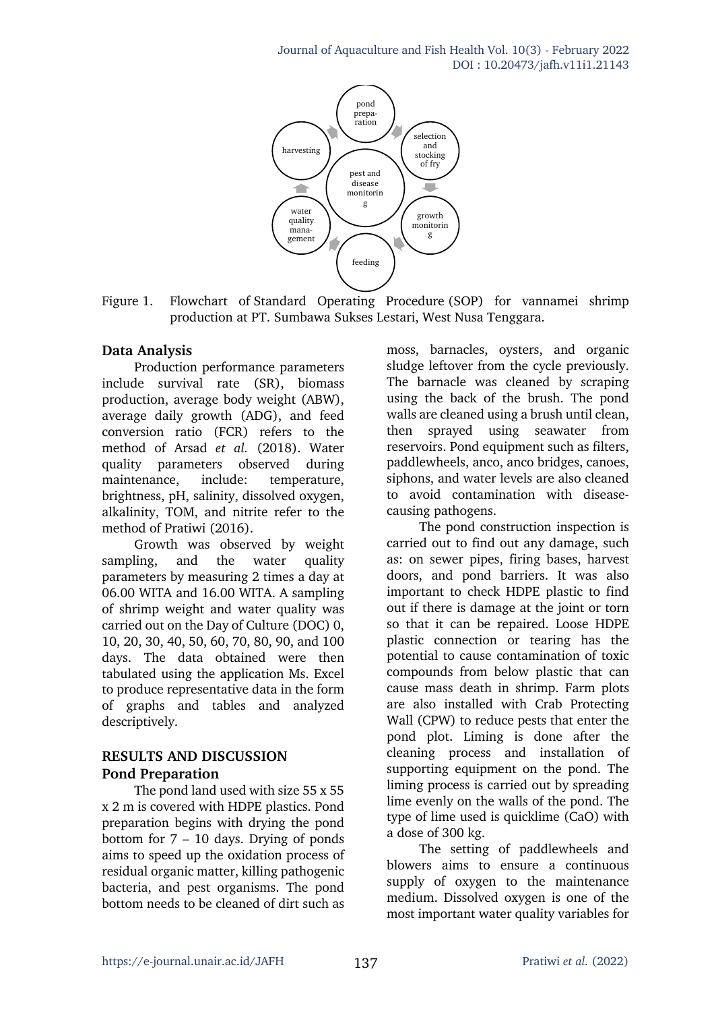

Figure 1. Flowchart of Standard Operating Procedure (SOP) for vannamei shrimp production at PT. Sumbawa Sukses Lestari, West Nusa Tenggara.

# **Data Analysis**

Production performance parameters include survival rate (SR), biomass production, average body weight (ABW), average daily growth (ADG), and feed conversion ratio (FCR) refers to the method of Arsad *et al.* (2018). Water quality parameters observed during maintenance, include: temperature, brightness, pH, salinity, dissolved oxygen, alkalinity, TOM, and nitrite refer to the method of Pratiwi (2016).

Growth was observed by weight sampling, and the water quality parameters by measuring 2 times a day at 06.00 WITA and 16.00 WITA. A sampling of shrimp weight and water quality was carried out on the Day of Culture (DOC) 0, 10, 20, 30, 40, 50, 60, 70, 80, 90, and 100 days. The data obtained were then tabulated using the application Ms. Excel to produce representative data in the form of graphs and tables and analyzed descriptively.

# **RESULTS AND DISCUSSION Pond Preparation**

The pond land used with size 55 x 55 x 2 m is covered with HDPE plastics. Pond preparation begins with drying the pond bottom for  $7 - 10$  days. Drying of ponds aims to speed up the oxidation process of residual organic matter, killing pathogenic bacteria, and pest organisms. The pond bottom needs to be cleaned of dirt such as

moss, barnacles, oysters, and organic sludge leftover from the cycle previously. The barnacle was cleaned by scraping using the back of the brush. The pond walls are cleaned using a brush until clean, then sprayed using seawater from reservoirs. Pond equipment such as filters, paddlewheels, anco, anco bridges, canoes, siphons, and water levels are also cleaned to avoid contamination with diseasecausing pathogens.

The pond construction inspection is carried out to find out any damage, such as: on sewer pipes, firing bases, harvest doors, and pond barriers. It was also important to check HDPE plastic to find out if there is damage at the joint or torn so that it can be repaired. Loose HDPE plastic connection or tearing has the potential to cause contamination of toxic compounds from below plastic that can cause mass death in shrimp. Farm plots are also installed with Crab Protecting Wall (CPW) to reduce pests that enter the pond plot. Liming is done after the cleaning process and installation of supporting equipment on the pond. The liming process is carried out by spreading lime evenly on the walls of the pond. The type of lime used is quicklime (CaO) with a dose of 300 kg.

The setting of paddlewheels and blowers aims to ensure a continuous supply of oxygen to the maintenance medium. Dissolved oxygen is one of the most important water quality variables for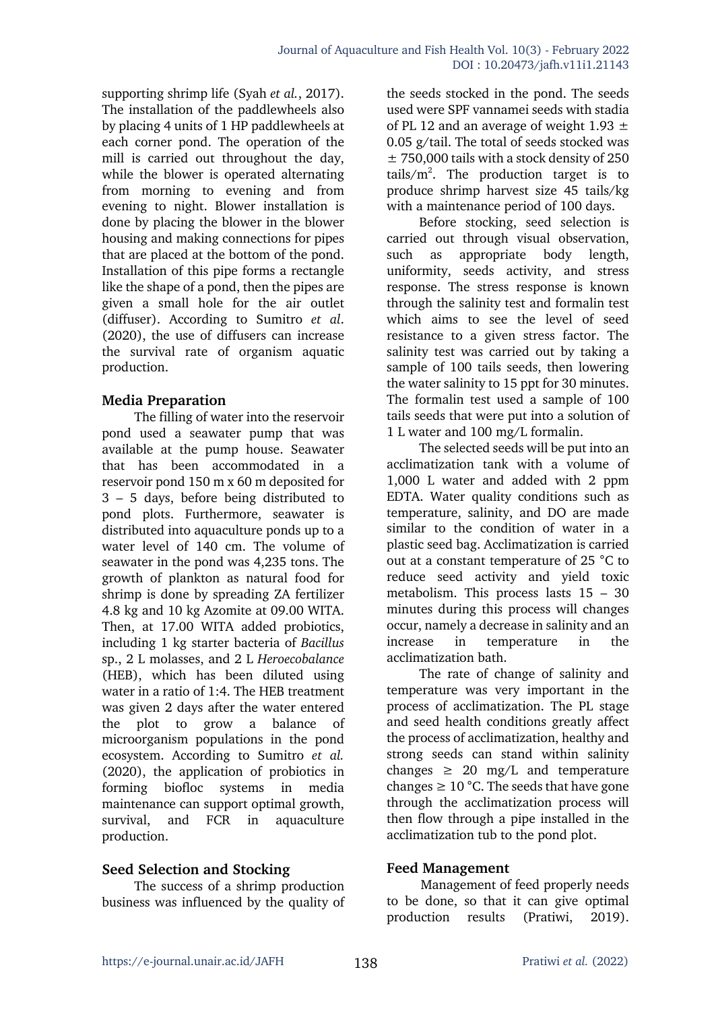supporting shrimp life (Syah *et al.*, 2017). The installation of the paddlewheels also by placing 4 units of 1 HP paddlewheels at each corner pond. The operation of the mill is carried out throughout the day, while the blower is operated alternating from morning to evening and from evening to night. Blower installation is done by placing the blower in the blower housing and making connections for pipes that are placed at the bottom of the pond. Installation of this pipe forms a rectangle like the shape of a pond, then the pipes are given a small hole for the air outlet (diffuser). According to Sumitro *et al*. (2020), the use of diffusers can increase the survival rate of organism aquatic production.

# **Media Preparation**

The filling of water into the reservoir pond used a seawater pump that was available at the pump house. Seawater that has been accommodated in a reservoir pond 150 m x 60 m deposited for 3 – 5 days, before being distributed to pond plots. Furthermore, seawater is distributed into aquaculture ponds up to a water level of 140 cm. The volume of seawater in the pond was 4,235 tons. The growth of plankton as natural food for shrimp is done by spreading ZA fertilizer 4.8 kg and 10 kg Azomite at 09.00 WITA. Then, at 17.00 WITA added probiotics, including 1 kg starter bacteria of *Bacillus* sp., 2 L molasses, and 2 L *Heroecobalance* (HEB), which has been diluted using water in a ratio of 1:4. The HEB treatment was given 2 days after the water entered the plot to grow a balance of microorganism populations in the pond ecosystem. According to Sumitro *et al.* (2020), the application of probiotics in forming biofloc systems in media maintenance can support optimal growth, survival, and FCR in aquaculture production.

# **Seed Selection and Stocking**

The success of a shrimp production business was influenced by the quality of

the seeds stocked in the pond. The seeds used were SPF vannamei seeds with stadia of PL 12 and an average of weight 1.93  $\pm$ 0.05 g/tail. The total of seeds stocked was  $\pm$  750,000 tails with a stock density of 250 tails/ $m^2$ . The production target is to produce shrimp harvest size 45 tails/kg with a maintenance period of 100 days.

Before stocking, seed selection is carried out through visual observation, such as appropriate body length, uniformity, seeds activity, and stress response. The stress response is known through the salinity test and formalin test which aims to see the level of seed resistance to a given stress factor. The salinity test was carried out by taking a sample of 100 tails seeds, then lowering the water salinity to 15 ppt for 30 minutes. The formalin test used a sample of 100 tails seeds that were put into a solution of 1 L water and 100 mg/L formalin.

The selected seeds will be put into an acclimatization tank with a volume of 1,000 L water and added with 2 ppm EDTA. Water quality conditions such as temperature, salinity, and DO are made similar to the condition of water in a plastic seed bag. Acclimatization is carried out at a constant temperature of 25 °C to reduce seed activity and yield toxic metabolism. This process lasts 15 – 30 minutes during this process will changes occur, namely a decrease in salinity and an increase in temperature in the acclimatization bath.

The rate of change of salinity and temperature was very important in the process of acclimatization. The PL stage and seed health conditions greatly affect the process of acclimatization, healthy and strong seeds can stand within salinity changes  $\geq 20$  mg/L and temperature changes  $\geq 10$  °C. The seeds that have gone through the acclimatization process will then flow through a pipe installed in the acclimatization tub to the pond plot.

# **Feed Management**

Management of feed properly needs to be done, so that it can give optimal production results (Pratiwi, 2019).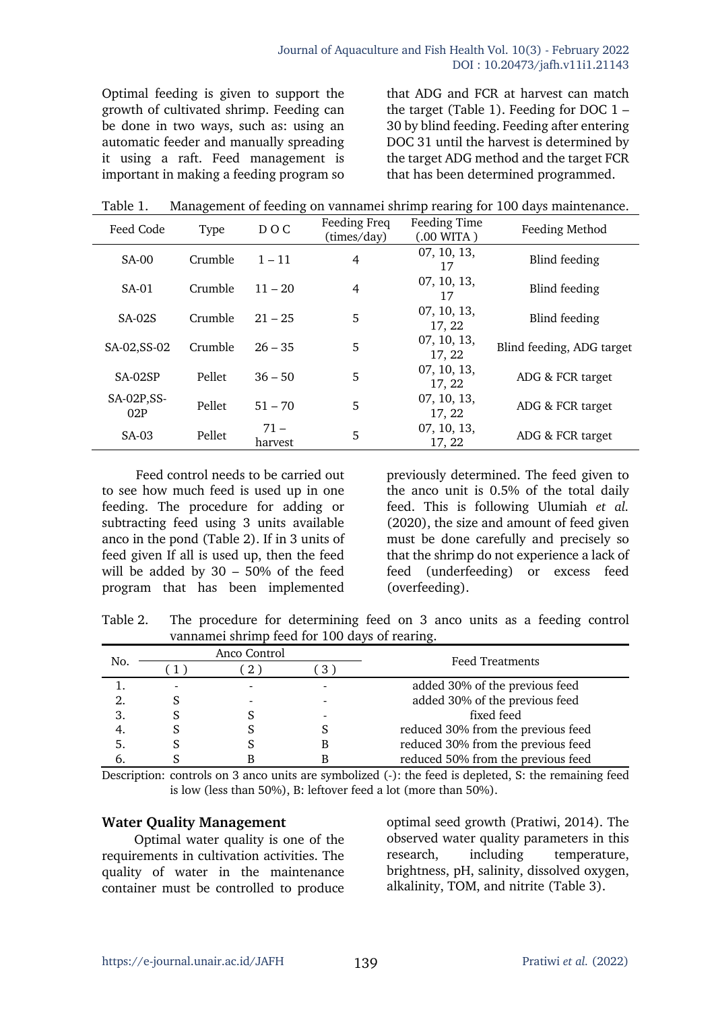Optimal feeding is given to support the growth of cultivated shrimp. Feeding can be done in two ways, such as: using an automatic feeder and manually spreading it using a raft. Feed management is important in making a feeding program so that ADG and FCR at harvest can match the target (Table 1). Feeding for DOC  $1 -$ 30 by blind feeding. Feeding after entering DOC 31 until the harvest is determined by the target ADG method and the target FCR that has been determined programmed.

| Table 1. | Management of feeding on vannamei shrimp rearing for 100 days maintenance. |  |  |
|----------|----------------------------------------------------------------------------|--|--|
|          |                                                                            |  |  |

| Feed Code          | <b>Type</b> | DOC.              | Feeding Freq<br>(times/day) | Feeding Time<br>(.00 WITA) | Feeding Method            |
|--------------------|-------------|-------------------|-----------------------------|----------------------------|---------------------------|
| <b>SA-00</b>       | Crumble     | $1 - 11$          | 4                           | 07, 10, 13,<br>17          | Blind feeding             |
| $SA-01$            | Crumble     | $11 - 20$         | 4                           | 07, 10, 13,<br>17          | Blind feeding             |
| <b>SA-02S</b>      | Crumble     | $21 - 25$         | 5                           | 07, 10, 13,<br>17, 22      | Blind feeding             |
| SA-02, SS-02       | Crumble     | $26 - 35$         | 5                           | 07, 10, 13,<br>17, 22      | Blind feeding, ADG target |
| SA-02SP            | Pellet      | $36 - 50$         | 5                           | 07, 10, 13,<br>17, 22      | ADG & FCR target          |
| SA-02P, SS-<br>02P | Pellet      | $51 - 70$         | 5                           | 07, 10, 13,<br>17, 22      | ADG & FCR target          |
| SA-03              | Pellet      | $71 -$<br>harvest | 5                           | 07, 10, 13,<br>17, 22      | ADG & FCR target          |

Feed control needs to be carried out to see how much feed is used up in one feeding. The procedure for adding or subtracting feed using 3 units available anco in the pond (Table 2). If in 3 units of feed given If all is used up, then the feed will be added by 30 – 50% of the feed program that has been implemented

previously determined. The feed given to the anco unit is 0.5% of the total daily feed. This is following Ulumiah *et al.* (2020), the size and amount of feed given must be done carefully and precisely so that the shrimp do not experience a lack of feed (underfeeding) or excess feed (overfeeding).

Table 2. The procedure for determining feed on 3 anco units as a feeding control vannamei shrimp feed for 100 days of rearing.

| No. |                          | Anco Control |  | <b>Feed Treatments</b>             |  |
|-----|--------------------------|--------------|--|------------------------------------|--|
|     |                          |              |  |                                    |  |
|     | $\overline{\phantom{0}}$ |              |  | added 30% of the previous feed     |  |
|     |                          |              |  | added 30% of the previous feed     |  |
| 3.  |                          |              |  | fixed feed                         |  |
|     |                          |              |  | reduced 30% from the previous feed |  |
|     |                          |              |  | reduced 30% from the previous feed |  |
|     |                          |              |  | reduced 50% from the previous feed |  |

Description: controls on 3 anco units are symbolized (-): the feed is depleted, S: the remaining feed is low (less than 50%), B: leftover feed a lot (more than 50%).

#### **Water Quality Management**

Optimal water quality is one of the requirements in cultivation activities. The quality of water in the maintenance container must be controlled to produce optimal seed growth (Pratiwi, 2014). The observed water quality parameters in this research, including temperature, brightness, pH, salinity, dissolved oxygen, alkalinity, TOM, and nitrite (Table 3).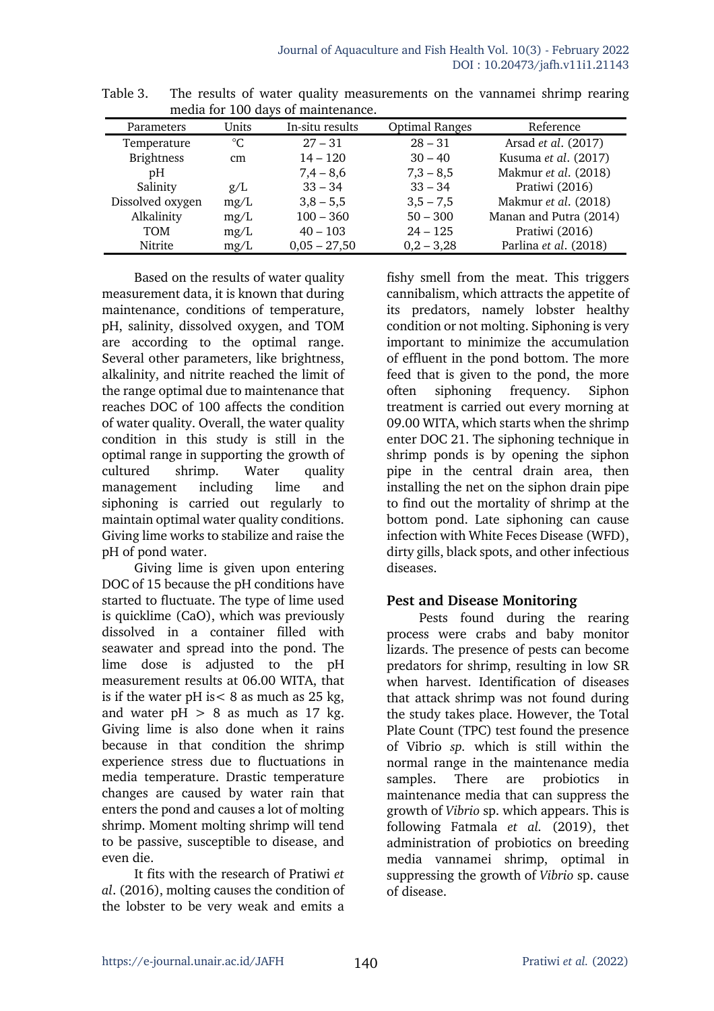| Parameters        | Units | In-situ results | <b>Optimal Ranges</b> | Reference              |
|-------------------|-------|-----------------|-----------------------|------------------------|
| Temperature       | °C.   | $27 - 31$       | $28 - 31$             | Arsad et al. (2017)    |
| <b>Brightness</b> | cm    | $14 - 120$      | $30 - 40$             | Kusuma et al. (2017)   |
| pH                |       | $7,4 - 8,6$     | $7,3 - 8,5$           | Makmur et al. (2018)   |
| Salinity          | g/L   | $33 - 34$       | $33 - 34$             | Pratiwi (2016)         |
| Dissolved oxygen  | mg/L  | $3,8 - 5,5$     | $3,5 - 7,5$           | Makmur et al. (2018)   |
| Alkalinity        | mg/L  | $100 - 360$     | $50 - 300$            | Manan and Putra (2014) |
| TOM               | mg/L  | $40 - 103$      | $24 - 125$            | Pratiwi (2016)         |
| Nitrite           | mg/L  | $0,05 - 27,50$  | $0,2 - 3,28$          | Parlina et al. (2018)  |

Table 3. The results of water quality measurements on the vannamei shrimp rearing media for 100 days of maintenance.

Based on the results of water quality measurement data, it is known that during maintenance, conditions of temperature, pH, salinity, dissolved oxygen, and TOM are according to the optimal range. Several other parameters, like brightness, alkalinity, and nitrite reached the limit of the range optimal due to maintenance that reaches DOC of 100 affects the condition of water quality. Overall, the water quality condition in this study is still in the optimal range in supporting the growth of cultured shrimp. Water quality management including lime and siphoning is carried out regularly to maintain optimal water quality conditions. Giving lime works to stabilize and raise the pH of pond water.

Giving lime is given upon entering DOC of 15 because the pH conditions have started to fluctuate. The type of lime used is quicklime (CaO), which was previously dissolved in a container filled with seawater and spread into the pond. The lime dose is adjusted to the pH measurement results at 06.00 WITA, that is if the water pH is  $< 8$  as much as 25 kg, and water  $pH > 8$  as much as 17 kg. Giving lime is also done when it rains because in that condition the shrimp experience stress due to fluctuations in media temperature. Drastic temperature changes are caused by water rain that enters the pond and causes a lot of molting shrimp. Moment molting shrimp will tend to be passive, susceptible to disease, and even die.

It fits with the research of Pratiwi *et al*. (2016), molting causes the condition of the lobster to be very weak and emits a

fishy smell from the meat. This triggers cannibalism, which attracts the appetite of its predators, namely lobster healthy condition or not molting. Siphoning is very important to minimize the accumulation of effluent in the pond bottom. The more feed that is given to the pond, the more often siphoning frequency. Siphon treatment is carried out every morning at 09.00 WITA, which starts when the shrimp enter DOC 21. The siphoning technique in shrimp ponds is by opening the siphon pipe in the central drain area, then installing the net on the siphon drain pipe to find out the mortality of shrimp at the bottom pond. Late siphoning can cause infection with White Feces Disease (WFD), dirty gills, black spots, and other infectious diseases.

# **Pest and Disease Monitoring**

Pests found during the rearing process were crabs and baby monitor lizards. The presence of pests can become predators for shrimp, resulting in low SR when harvest. Identification of diseases that attack shrimp was not found during the study takes place. However, the Total Plate Count (TPC) test found the presence of Vibrio *sp.* which is still within the normal range in the maintenance media samples. There are probiotics in maintenance media that can suppress the growth of *Vibrio* sp. which appears. This is following Fatmala *et al.* (2019), thet administration of probiotics on breeding media vannamei shrimp, optimal in suppressing the growth of *Vibrio* sp. cause of disease.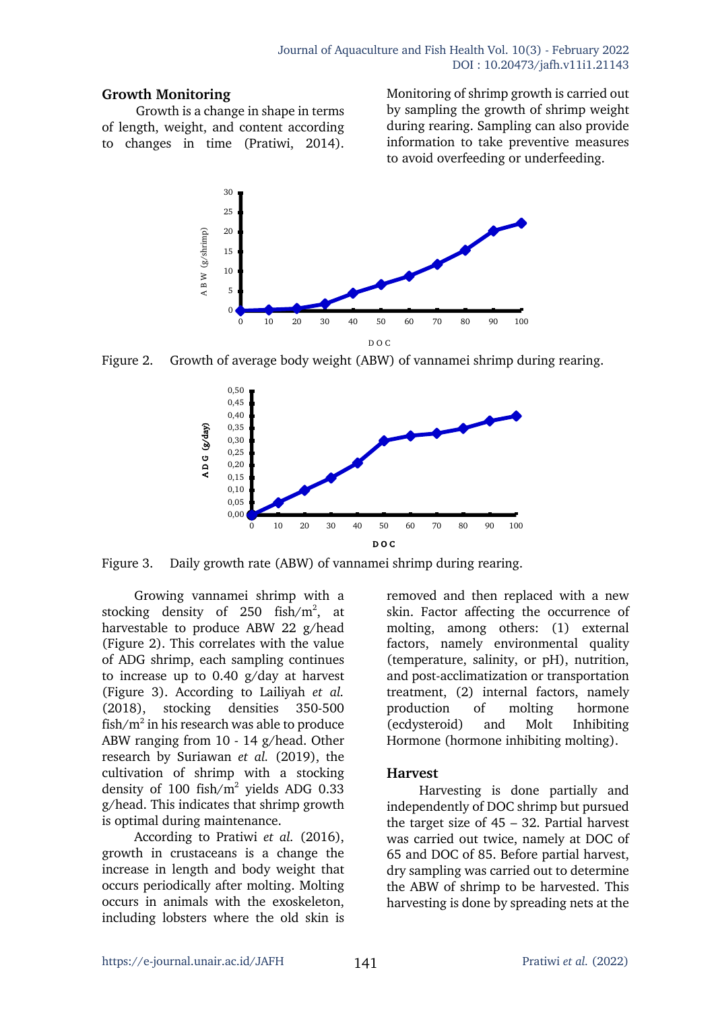## **Growth Monitoring**

Growth is a change in shape in terms of length, weight, and content according to changes in time (Pratiwi, 2014). Monitoring of shrimp growth is carried out by sampling the growth of shrimp weight during rearing. Sampling can also provide information to take preventive measures to avoid overfeeding or underfeeding.



Figure 2. Growth of average body weight (ABW) of vannamei shrimp during rearing.



Figure 3. Daily growth rate (ABW) of vannamei shrimp during rearing.

Growing vannamei shrimp with a stocking density of 250 fish/ $m^2$ , at harvestable to produce ABW 22 g/head (Figure 2). This correlates with the value of ADG shrimp, each sampling continues to increase up to 0.40 g/day at harvest (Figure 3). According to Lailiyah *et al.* (2018), stocking densities 350-500 fish/ $m^2$  in his research was able to produce ABW ranging from 10 - 14 g/head. Other research by Suriawan *et al.* (2019), the cultivation of shrimp with a stocking density of 100 fish/m2 yields ADG 0.33 g/head. This indicates that shrimp growth is optimal during maintenance.

According to Pratiwi *et al.* (2016), growth in crustaceans is a change the increase in length and body weight that occurs periodically after molting. Molting occurs in animals with the exoskeleton, including lobsters where the old skin is removed and then replaced with a new skin. Factor affecting the occurrence of molting, among others: (1) external factors, namely environmental quality (temperature, salinity, or pH), nutrition, and post-acclimatization or transportation treatment, (2) internal factors, namely production of molting hormone (ecdysteroid) and Molt Inhibiting Hormone (hormone inhibiting molting).

# **Harvest**

Harvesting is done partially and independently of DOC shrimp but pursued the target size of 45 – 32. Partial harvest was carried out twice, namely at DOC of 65 and DOC of 85. Before partial harvest, dry sampling was carried out to determine the ABW of shrimp to be harvested. This harvesting is done by spreading nets at the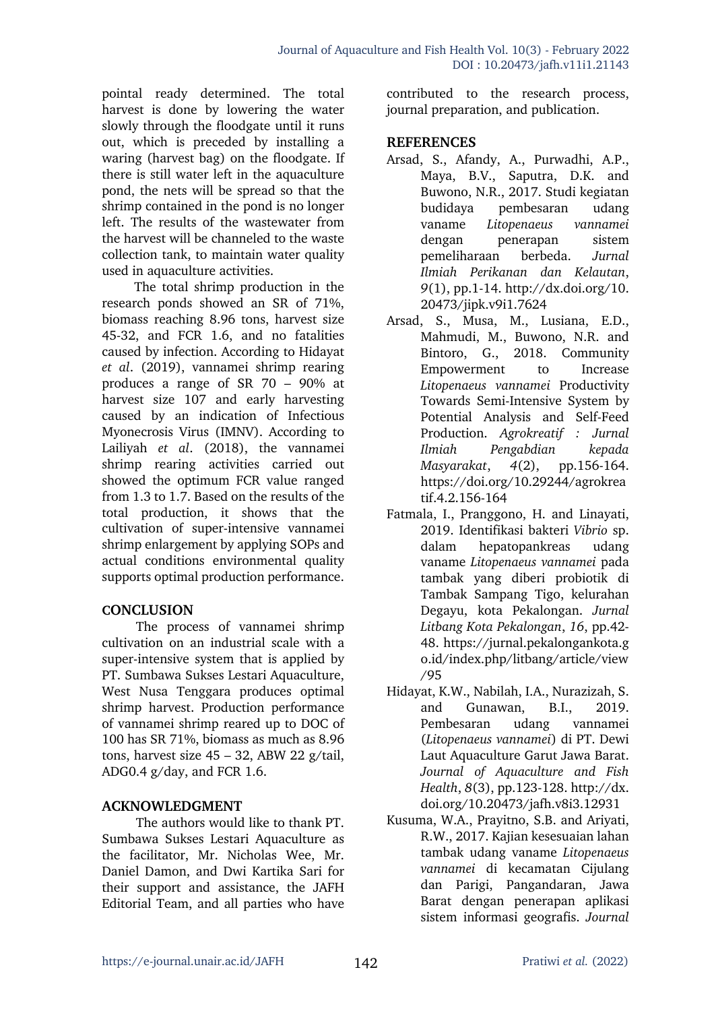pointal ready determined. The total harvest is done by lowering the water slowly through the floodgate until it runs out, which is preceded by installing a waring (harvest bag) on the floodgate. If there is still water left in the aquaculture pond, the nets will be spread so that the shrimp contained in the pond is no longer left. The results of the wastewater from the harvest will be channeled to the waste collection tank, to maintain water quality used in aquaculture activities.

The total shrimp production in the research ponds showed an SR of 71%, biomass reaching 8.96 tons, harvest size 45-32, and FCR 1.6, and no fatalities caused by infection. According to Hidayat *et al*. (2019), vannamei shrimp rearing produces a range of SR 70 – 90% at harvest size 107 and early harvesting caused by an indication of Infectious Myonecrosis Virus (IMNV). According to Lailiyah *et al*. (2018), the vannamei shrimp rearing activities carried out showed the optimum FCR value ranged from 1.3 to 1.7. Based on the results of the total production, it shows that the cultivation of super-intensive vannamei shrimp enlargement by applying SOPs and actual conditions environmental quality supports optimal production performance.

#### **CONCLUSION**

The process of vannamei shrimp cultivation on an industrial scale with a super-intensive system that is applied by PT. Sumbawa Sukses Lestari Aquaculture, West Nusa Tenggara produces optimal shrimp harvest. Production performance of vannamei shrimp reared up to DOC of 100 has SR 71%, biomass as much as 8.96 tons, harvest size  $45 - 32$ , ABW 22 g/tail, ADG0.4 g/day, and FCR 1.6.

# **ACKNOWLEDGMENT**

The authors would like to thank PT. Sumbawa Sukses Lestari Aquaculture as the facilitator, Mr. Nicholas Wee, Mr. Daniel Damon, and Dwi Kartika Sari for their support and assistance, the JAFH Editorial Team, and all parties who have contributed to the research process, journal preparation, and publication.

## **REFERENCES**

- Arsad, S., Afandy, A., Purwadhi, A.P., Maya, B.V., Saputra, D.K. and Buwono, N.R., 2017. Studi kegiatan budidaya pembesaran udang vaname *Litopenaeus vannamei* dengan penerapan sistem pemeliharaan berbeda. *Jurnal Ilmiah Perikanan dan Kelautan*, *9*(1), pp.1-14. http://dx.doi.org/10. 20473/jipk.v9i1.7624
- Arsad, S., Musa, M., Lusiana, E.D., Mahmudi, M., Buwono, N.R. and Bintoro, G., 2018. Community Empowerment to Increase *Litopenaeus vannamei* Productivity Towards Semi-Intensive System by Potential Analysis and Self-Feed Production. *Agrokreatif : Jurnal Ilmiah Pengabdian kepada Masyarakat*, *4*(2), pp.156-164. https://doi.org/10.29244/agrokrea tif.4.2.156-164
- Fatmala, I., Pranggono, H. and Linayati, 2019. Identifikasi bakteri *Vibrio* sp. dalam hepatopankreas udang vaname *Litopenaeus vannamei* pada tambak yang diberi probiotik di Tambak Sampang Tigo, kelurahan Degayu, kota Pekalongan. *Jurnal Litbang Kota Pekalongan*, *16*, pp.42- 48. https://jurnal.pekalongankota.g o.id/index.php/litbang/article/view /95
- Hidayat, K.W., Nabilah, I.A., Nurazizah, S. and Gunawan, B.I., 2019. Pembesaran udang vannamei (*Litopenaeus vannamei*) di PT. Dewi Laut Aquaculture Garut Jawa Barat. *Journal of Aquaculture and Fish Health*, *8*(3), pp.123-128. http://dx. doi.org/10.20473/jafh.v8i3.12931
- Kusuma, W.A., Prayitno, S.B. and Ariyati, R.W., 2017. Kajian kesesuaian lahan tambak udang vaname *Litopenaeus vannamei* di kecamatan Cijulang dan Parigi, Pangandaran, Jawa Barat dengan penerapan aplikasi sistem informasi geografis. *Journal*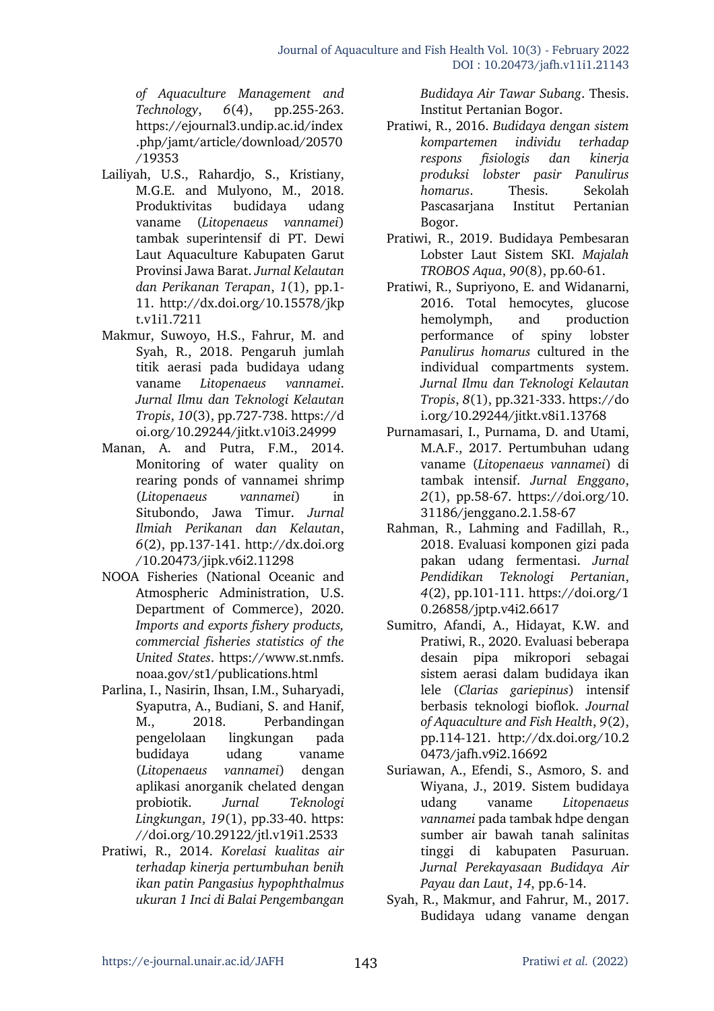*of Aquaculture Management and Technology*, *6*(4), pp.255-263. https://ejournal3.undip.ac.id/index .php/jamt/article/download/20570 /19353

- Lailiyah, U.S., Rahardjo, S., Kristiany, M.G.E. and Mulyono, M., 2018. Produktivitas budidaya udang vaname (*Litopenaeus vannamei*) tambak superintensif di PT. Dewi Laut Aquaculture Kabupaten Garut Provinsi Jawa Barat. *Jurnal Kelautan dan Perikanan Terapan*, *1*(1), pp.1- 11. http://dx.doi.org/10.15578/jkp t.v1i1.7211
- Makmur, Suwoyo, H.S., Fahrur, M. and Syah, R., 2018. Pengaruh jumlah titik aerasi pada budidaya udang vaname *Litopenaeus vannamei*. *Jurnal Ilmu dan Teknologi Kelautan Tropis*, *10*(3), pp.727-738. https://d oi.org/10.29244/jitkt.v10i3.24999
- Manan, A. and Putra, F.M., 2014. Monitoring of water quality on rearing ponds of vannamei shrimp (*Litopenaeus vannamei*) in Situbondo, Jawa Timur. *Jurnal Ilmiah Perikanan dan Kelautan*, *6*(2), pp.137-141. http://dx.doi.org /10.20473/jipk.v6i2.11298
- NOOA Fisheries (National Oceanic and Atmospheric Administration, U.S. Department of Commerce), 2020. *Imports and exports fishery products, commercial fisheries statistics of the United States*. https://www.st.nmfs. noaa.gov/st1/publications.html
- Parlina, I., Nasirin, Ihsan, I.M., Suharyadi, Syaputra, A., Budiani, S. and Hanif, M., 2018. Perbandingan pengelolaan lingkungan pada budidaya udang vaname (*Litopenaeus vannamei*) dengan aplikasi anorganik chelated dengan probiotik. *Jurnal Teknologi Lingkungan*, *19*(1), pp.33-40. https: //doi.org/10.29122/jtl.v19i1.2533
- Pratiwi, R., 2014. *Korelasi kualitas air terhadap kinerja pertumbuhan benih ikan patin Pangasius hypophthalmus ukuran 1 Inci di Balai Pengembangan*

*Budidaya Air Tawar Subang*. Thesis. Institut Pertanian Bogor.

- Pratiwi, R., 2016. *Budidaya dengan sistem kompartemen individu terhadap respons fisiologis dan kinerja produksi lobster pasir Panulirus homarus*. Thesis. Sekolah Pascasarjana Institut Pertanian Bogor.
- Pratiwi, R., 2019. Budidaya Pembesaran Lobster Laut Sistem SKI. *Majalah TROBOS Aqua*, *90*(8), pp.60-61.
- Pratiwi, R., Supriyono, E. and Widanarni, 2016. Total hemocytes, glucose hemolymph, and production performance of spiny lobster *Panulirus homarus* cultured in the individual compartments system. *Jurnal Ilmu dan Teknologi Kelautan Tropis*, *8*(1), pp.321-333. https://do i.org/10.29244/jitkt.v8i1.13768
- Purnamasari, I., Purnama, D. and Utami, M.A.F., 2017. Pertumbuhan udang vaname (*Litopenaeus vannamei*) di tambak intensif. *Jurnal Enggano*, *2*(1), pp.58-67. https://doi.org/10. 31186/jenggano.2.1.58-67
- Rahman, R., Lahming and Fadillah, R., 2018. Evaluasi komponen gizi pada pakan udang fermentasi. *Jurnal Pendidikan Teknologi Pertanian*, *4*(2), pp.101-111. https://doi.org/1 0.26858/jptp.v4i2.6617
- Sumitro, Afandi, A., Hidayat, K.W. and Pratiwi, R., 2020. Evaluasi beberapa desain pipa mikropori sebagai sistem aerasi dalam budidaya ikan lele (*Clarias gariepinus*) intensif berbasis teknologi bioflok. *Journal of Aquaculture and Fish Health*, *9*(2), pp.114-121. http://dx.doi.org/10.2 0473/jafh.v9i2.16692
- Suriawan, A., Efendi, S., Asmoro, S. and Wiyana, J., 2019. Sistem budidaya udang vaname *Litopenaeus vannamei* pada tambak hdpe dengan sumber air bawah tanah salinitas tinggi di kabupaten Pasuruan. *Jurnal Perekayasaan Budidaya Air Payau dan Laut*, *14*, pp.6-14.
- Syah, R., Makmur, and Fahrur, M., 2017. Budidaya udang vaname dengan